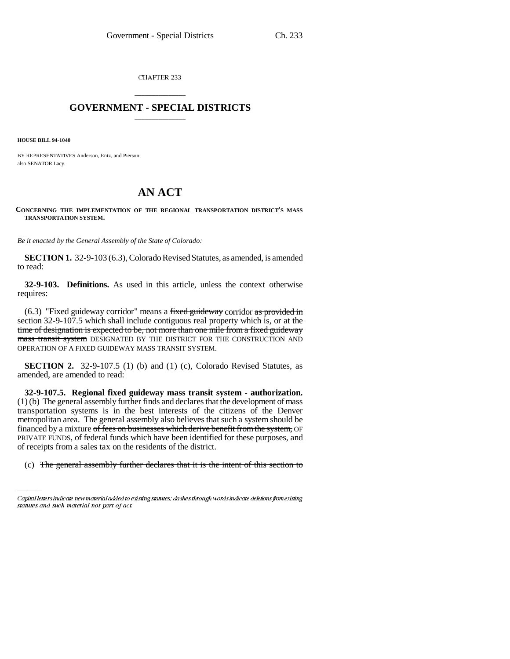CHAPTER 233

## \_\_\_\_\_\_\_\_\_\_\_\_\_\_\_ **GOVERNMENT - SPECIAL DISTRICTS** \_\_\_\_\_\_\_\_\_\_\_\_\_\_\_

**HOUSE BILL 94-1040**

BY REPRESENTATIVES Anderson, Entz, and Pierson; also SENATOR Lacy.

## **AN ACT**

**CONCERNING THE IMPLEMENTATION OF THE REGIONAL TRANSPORTATION DISTRICT'S MASS TRANSPORTATION SYSTEM.**

*Be it enacted by the General Assembly of the State of Colorado:*

**SECTION 1.** 32-9-103 (6.3), Colorado Revised Statutes, as amended, is amended to read:

**32-9-103. Definitions.** As used in this article, unless the context otherwise requires:

 $(6.3)$  "Fixed guideway corridor" means a fixed guideway corridor as provided in section 32-9-107.5 which shall include contiguous real property which is, or at the time of designation is expected to be, not more than one mile from a fixed guideway mass transit system DESIGNATED BY THE DISTRICT FOR THE CONSTRUCTION AND OPERATION OF A FIXED GUIDEWAY MASS TRANSIT SYSTEM.

**SECTION 2.** 32-9-107.5 (1) (b) and (1) (c), Colorado Revised Statutes, as amended, are amended to read:

financed by a mixture of fees on businesses which derive benefit from the system, OF **32-9-107.5. Regional fixed guideway mass transit system - authorization.** (1) (b) The general assembly further finds and declares that the development of mass transportation systems is in the best interests of the citizens of the Denver metropolitan area. The general assembly also believes that such a system should be PRIVATE FUNDS, of federal funds which have been identified for these purposes, and of receipts from a sales tax on the residents of the district.

(c) The general assembly further declares that it is the intent of this section to

Capital letters indicate new material added to existing statutes; dashes through words indicate deletions from existing statutes and such material not part of act.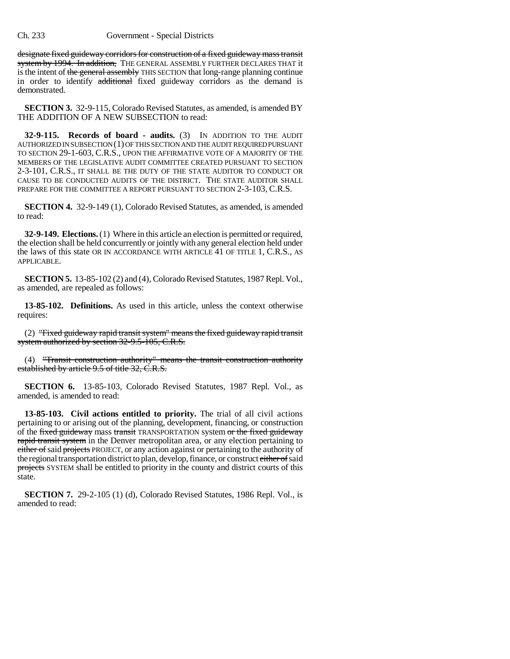## Ch. 233 Government - Special Districts

designate fixed guideway corridors for construction of a fixed guideway mass transit system by 1994. In addition, THE GENERAL ASSEMBLY FURTHER DECLARES THAT it is the intent of the general assembly THIS SECTION that long-range planning continue in order to identify additional fixed guideway corridors as the demand is demonstrated.

**SECTION 3.** 32-9-115, Colorado Revised Statutes, as amended, is amended BY THE ADDITION OF A NEW SUBSECTION to read:

**32-9-115. Records of board - audits.** (3) IN ADDITION TO THE AUDIT AUTHORIZED IN SUBSECTION (1) OF THIS SECTION AND THE AUDIT REQUIRED PURSUANT TO SECTION 29-1-603, C.R.S., UPON THE AFFIRMATIVE VOTE OF A MAJORITY OF THE MEMBERS OF THE LEGISLATIVE AUDIT COMMITTEE CREATED PURSUANT TO SECTION 2-3-101, C.R.S., IT SHALL BE THE DUTY OF THE STATE AUDITOR TO CONDUCT OR CAUSE TO BE CONDUCTED AUDITS OF THE DISTRICT. THE STATE AUDITOR SHALL PREPARE FOR THE COMMITTEE A REPORT PURSUANT TO SECTION 2-3-103, C.R.S.

**SECTION 4.** 32-9-149 (1), Colorado Revised Statutes, as amended, is amended to read:

**32-9-149. Elections.** (1) Where in this article an election is permitted or required, the election shall be held concurrently or jointly with any general election held under the laws of this state OR IN ACCORDANCE WITH ARTICLE 41 OF TITLE 1, C.R.S., AS APPLICABLE.

**SECTION 5.** 13-85-102 (2) and (4), Colorado Revised Statutes, 1987 Repl. Vol., as amended, are repealed as follows:

**13-85-102. Definitions.** As used in this article, unless the context otherwise requires:

(2) "Fixed guideway rapid transit system" means the fixed guideway rapid transit system authorized by section 32-9.5-105, C.R.S.

(4) "Transit construction authority" means the transit construction authority established by article 9.5 of title 32, C.R.S.

**SECTION 6.** 13-85-103, Colorado Revised Statutes, 1987 Repl. Vol., as amended, is amended to read:

**13-85-103. Civil actions entitled to priority.** The trial of all civil actions pertaining to or arising out of the planning, development, financing, or construction of the fixed guideway mass transit TRANSPORTATION system or the fixed guideway rapid transit system in the Denver metropolitan area, or any election pertaining to either of said projects PROJECT, or any action against or pertaining to the authority of the regional transportation district to plan, develop, finance, or construct either of said projects SYSTEM shall be entitled to priority in the county and district courts of this state.

**SECTION 7.** 29-2-105 (1) (d), Colorado Revised Statutes, 1986 Repl. Vol., is amended to read: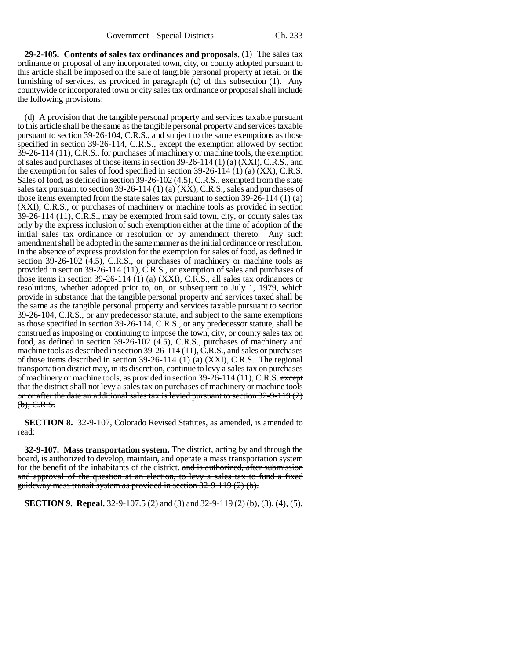**29-2-105. Contents of sales tax ordinances and proposals.** (1) The sales tax ordinance or proposal of any incorporated town, city, or county adopted pursuant to this article shall be imposed on the sale of tangible personal property at retail or the furnishing of services, as provided in paragraph (d) of this subsection (1). Any countywide or incorporated town or city sales tax ordinance or proposal shall include the following provisions:

(d) A provision that the tangible personal property and services taxable pursuant to this article shall be the same as the tangible personal property and services taxable pursuant to section 39-26-104, C.R.S., and subject to the same exemptions as those specified in section 39-26-114, C.R.S., except the exemption allowed by section 39-26-114 (11), C.R.S., for purchases of machinery or machine tools, the exemption of sales and purchases of those items in section 39-26-114 (1) (a) (XXI), C.R.S., and the exemption for sales of food specified in section  $39-26-114$  (1) (a) (XX), C.R.S. Sales of food, as defined in section 39-26-102 (4.5), C.R.S., exempted from the state sales tax pursuant to section 39-26-114 (1) (a) (XX), C.R.S., sales and purchases of those items exempted from the state sales tax pursuant to section 39-26-114 (1) (a) (XXI), C.R.S., or purchases of machinery or machine tools as provided in section 39-26-114 (11), C.R.S., may be exempted from said town, city, or county sales tax only by the express inclusion of such exemption either at the time of adoption of the initial sales tax ordinance or resolution or by amendment thereto. Any such amendment shall be adopted in the same manner as the initial ordinance or resolution. In the absence of express provision for the exemption for sales of food, as defined in section 39-26-102 (4.5), C.R.S., or purchases of machinery or machine tools as provided in section 39-26-114 (11), C.R.S., or exemption of sales and purchases of those items in section 39-26-114 (1) (a) (XXI), C.R.S., all sales tax ordinances or resolutions, whether adopted prior to, on, or subsequent to July 1, 1979, which provide in substance that the tangible personal property and services taxed shall be the same as the tangible personal property and services taxable pursuant to section 39-26-104, C.R.S., or any predecessor statute, and subject to the same exemptions as those specified in section 39-26-114, C.R.S., or any predecessor statute, shall be construed as imposing or continuing to impose the town, city, or county sales tax on food, as defined in section 39-26-102 (4.5), C.R.S., purchases of machinery and machine tools as described in section 39-26-114 (11), C.R.S., and sales or purchases of those items described in section 39-26-114 (1) (a) (XXI), C.R.S. The regional transportation district may, in its discretion, continue to levy a sales tax on purchases of machinery or machine tools, as provided in section 39-26-114 (11), C.R.S. except that the district shall not levy a sales tax on purchases of machinery or machine tools on or after the date an additional sales tax is levied pursuant to section 32-9-119 (2)  $(b)$ , C.R.S.

**SECTION 8.** 32-9-107, Colorado Revised Statutes, as amended, is amended to read:

**32-9-107. Mass transportation system.** The district, acting by and through the board, is authorized to develop, maintain, and operate a mass transportation system for the benefit of the inhabitants of the district. and is authorized, after submission and approval of the question at an election, to levy a sales tax to fund a fixed guideway mass transit system as provided in section 32-9-119 (2) (b).

**SECTION 9. Repeal.** 32-9-107.5 (2) and (3) and 32-9-119 (2) (b), (3), (4), (5),